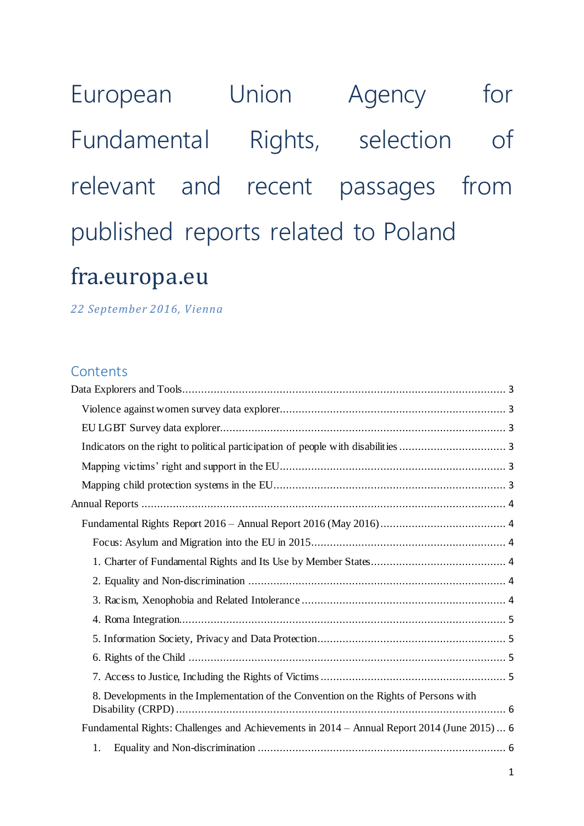European Union Agency for Fundamental Rights, selection of relevant and recent passages from published reports related to Poland fra.europa.eu

*22 September 2016, Vienna*

# **Contents**

| 8. Developments in the Implementation of the Convention on the Rights of Persons with       |  |
|---------------------------------------------------------------------------------------------|--|
| Fundamental Rights: Challenges and Achievements in 2014 – Annual Report 2014 (June 2015)  6 |  |
|                                                                                             |  |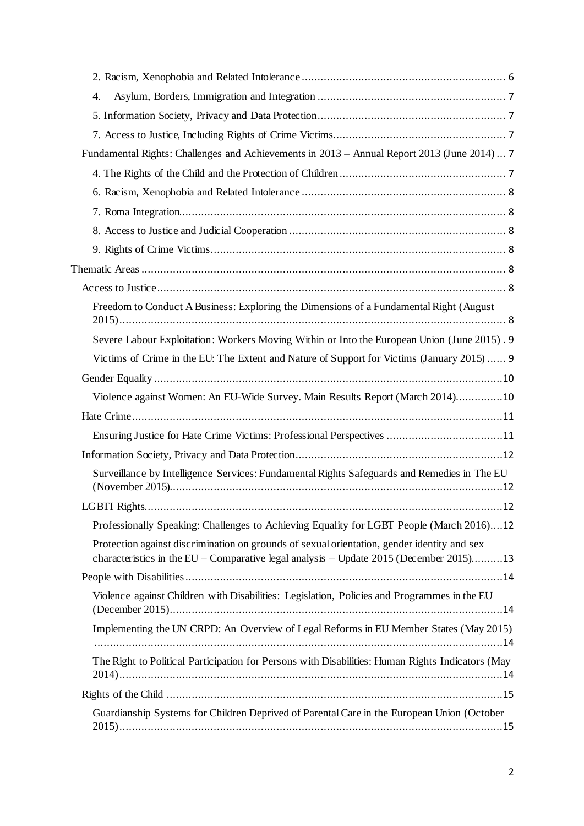| 4.                                                                                                                                                                                    |     |
|---------------------------------------------------------------------------------------------------------------------------------------------------------------------------------------|-----|
|                                                                                                                                                                                       |     |
|                                                                                                                                                                                       |     |
| Fundamental Rights: Challenges and Achievements in 2013 - Annual Report 2013 (June 2014)  7                                                                                           |     |
|                                                                                                                                                                                       |     |
|                                                                                                                                                                                       |     |
|                                                                                                                                                                                       |     |
|                                                                                                                                                                                       |     |
|                                                                                                                                                                                       |     |
|                                                                                                                                                                                       |     |
|                                                                                                                                                                                       |     |
| Freedom to Conduct A Business: Exploring the Dimensions of a Fundamental Right (August                                                                                                |     |
| Severe Labour Exploitation: Workers Moving Within or Into the European Union (June 2015). 9                                                                                           |     |
| Victims of Crime in the EU: The Extent and Nature of Support for Victims (January 2015) 9                                                                                             |     |
|                                                                                                                                                                                       |     |
| Violence against Women: An EU-Wide Survey. Main Results Report (March 2014)10                                                                                                         |     |
|                                                                                                                                                                                       |     |
| Ensuring Justice for Hate Crime Victims: Professional Perspectives 11                                                                                                                 |     |
|                                                                                                                                                                                       |     |
| Surveillance by Intelligence Services: Fundamental Rights Safeguards and Remedies in The EU                                                                                           |     |
|                                                                                                                                                                                       | .12 |
| Professionally Speaking: Challenges to Achieving Equality for LGBT People (March 2016)12                                                                                              |     |
| Protection against discrimination on grounds of sexual orientation, gender identity and sex<br>characteristics in the EU – Comparative legal analysis – Update 2015 (December 2015)13 |     |
|                                                                                                                                                                                       |     |
| Violence against Children with Disabilities: Legislation, Policies and Programmes in the EU                                                                                           |     |
| Implementing the UN CRPD: An Overview of Legal Reforms in EU Member States (May 2015)                                                                                                 |     |
| The Right to Political Participation for Persons with Disabilities: Human Rights Indicators (May                                                                                      |     |
|                                                                                                                                                                                       |     |
| Guardianship Systems for Children Deprived of Parental Care in the European Union (October                                                                                            |     |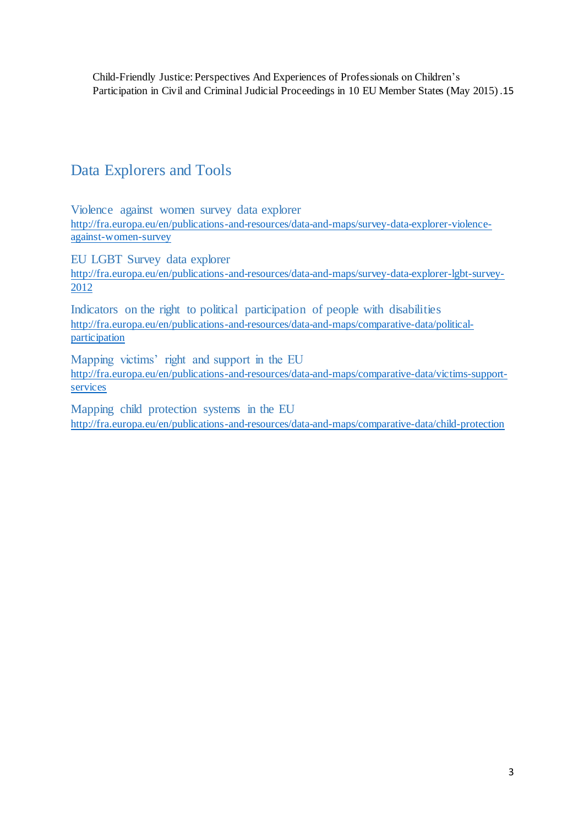Child-Friendly Justice: Perspectives And Experiences of Professionals on Children's Participation in Civil and Criminal Judicial Proceedings in 10 EU Member States (May 2015) .15

# Data Explorers and Tools

Violence against women survey data explorer http://fra.europa.eu/en/publications-and-resources/data-and-maps/survey-data-explorer-violenceagainst-women-survey

EU LGBT Survey data explorer

http://fra.europa.eu/en/publications-and-resources/data-and-maps/survey-data-explorer-lgbt-survey-2012

Indicators on the right to political participation of people with disabilities http://fra.europa.eu/en/publications-and-resources/data-and-maps/comparative-data/politicalparticipation

Mapping victims' right and support in the EU http://fra.europa.eu/en/publications-and-resources/data-and-maps/comparative-data/victims-supportservices

Mapping child protection systems in the EU http://fra.europa.eu/en/publications-and-resources/data-and-maps/comparative-data/child-protection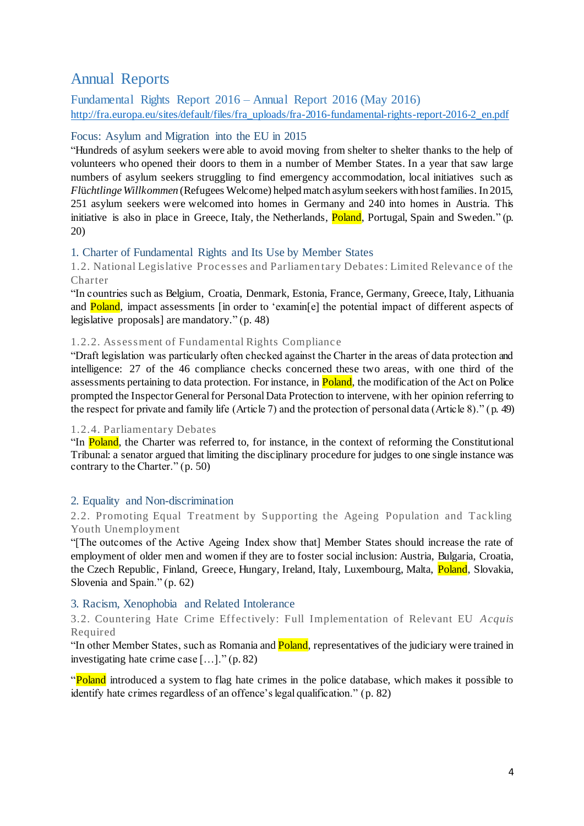# Annual Reports

Fundamental Rights Report 2016 – Annual Report 2016 (May 2016) http://fra.europa.eu/sites/default/files/fra\_uploads/fra-2016-fundamental-rights-report-2016-2\_en.pdf

#### Focus: Asylum and Migration into the EU in 2015

"Hundreds of asylum seekers were able to avoid moving from shelter to shelter thanks to the help of volunteers who opened their doors to them in a number of Member States. In a year that saw large numbers of asylum seekers struggling to find emergency accommodation, local initiatives such as *Fl*ü*chtlinge Willkommen* (Refugees Welcome) helped match asylum seekers with host families. In 2015, 251 asylum seekers were welcomed into homes in Germany and 240 into homes in Austria. This initiative is also in place in Greece, Italy, the Netherlands, Poland, Portugal, Spain and Sweden." (p. 20)

## 1. Charter of Fundamental Rights and Its Use by Member States

1.2. National Legislative Processes and Parliamentary Debates: Limited Relevance of the Charter

"In countries such as Belgium, Croatia, Denmark, Estonia, France, Germany, Greece, Italy, Lithuania and **Poland**, impact assessments [in order to 'examin[e] the potential impact of different aspects of legislative proposals] are mandatory." (p. 48)

#### 1.2.2. Assessment of Fundamental Rights Complianc e

"Draft legislation was particularly often checked against the Charter in the areas of data protection and intelligence: 27 of the 46 compliance checks concerned these two areas, with one third of the assessments pertaining to data protection. For instance, in Poland, the modification of the Act on Police prompted the Inspector General for Personal Data Protection to intervene, with her opinion referring to the respect for private and family life (Article 7) and the protection of personal data (Article 8)." (p. 49)

#### 1.2.4. Parliamentary Debates

"In Poland, the Charter was referred to, for instance, in the context of reforming the Constitutional Tribunal: a senator argued that limiting the disciplinary procedure for judges to one single instance was contrary to the Charter." (p. 50)

#### 2. Equality and Non-discrimination

2.2. Promoting Equal Treatment by Supporting the Ageing Population and Tackling Youth Unemployment

"[The outcomes of the Active Ageing Index show that] Member States should increase the rate of employment of older men and women if they are to foster social inclusion: Austria, Bulgaria, Croatia, the Czech Republic, Finland, Greece, Hungary, Ireland, Italy, Luxembourg, Malta, Poland, Slovakia, Slovenia and Spain." (p. 62)

## 3. Racism, Xenophobia and Related Intolerance

3.2. Countering Hate Crime Effec tively: Full Implementation of Relevant EU *Acquis*  Required

"In other Member States, such as Romania and **Poland**, representatives of the judiciary were trained in investigating hate crime case […]." (p. 82)

"Poland introduced a system to flag hate crimes in the police database, which makes it possible to identify hate crimes regardless of an offence's legal qualification." (p. 82)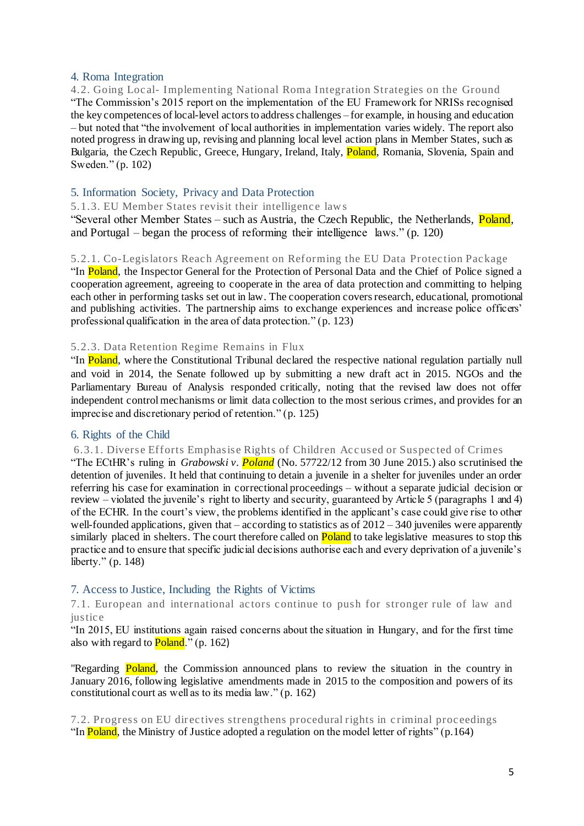#### 4. Roma Integration

4.2. Going Loc al- Implementing National Roma Integration Strategies on the Ground "The Commission's 2015 report on the implementation of the EU Framework for NRISs recognised the key competences of local-level actors to address challenges – for example, in housing and education – but noted that "the involvement of local authorities in implementation varies widely. The report also noted progress in drawing up, revising and planning local level action plans in Member States, such as Bulgaria, the Czech Republic, Greece, Hungary, Ireland, Italy, Poland, Romania, Slovenia, Spain and Sweden." (p. 102)

## 5. Information Society, Privacy and Data Protection

5.1.3. EU Member States revisit their intelligence laws

"Several other Member States – such as Austria, the Czech Republic, the Netherlands, Poland, and Portugal – began the process of reforming their intelligence laws." (p. 120)

#### 5.2.1. Co-Legislators Reac h Agreement on Reforming the EU Data Protec tion Pac kage

"In Poland, the Inspector General for the Protection of Personal Data and the Chief of Police signed a cooperation agreement, agreeing to cooperate in the area of data protection and committing to helping each other in performing tasks set out in law. The cooperation covers research, educational, promotional and publishing activities. The partnership aims to exchange experiences and increase police officers' professional qualification in the area of data protection." (p. 123)

#### 5.2.3. Data Retention Regime Remains in Flux

"In Poland, where the Constitutional Tribunal declared the respective national regulation partially null and void in 2014, the Senate followed up by submitting a new draft act in 2015. NGOs and the Parliamentary Bureau of Analysis responded critically, noting that the revised law does not offer independent control mechanisms or limit data collection to the most serious crimes, and provides for an imprecise and discretionary period of retention." (p. 125)

## 6. Rights of the Child

6.3.1. Diverse Efforts Emphasise Rights of Children Accused or Suspected of Crimes

"The ECtHR's ruling in *Grabowski v. Poland* (No. 57722/12 from 30 June 2015.) also scrutinised the detention of juveniles. It held that continuing to detain a juvenile in a shelter for juveniles under an order referring his case for examination in correctional proceedings – without a separate judicial decision or review – violated the juvenile's right to liberty and security, guaranteed by Article 5 (paragraphs 1 and 4) of the ECHR. In the court's view, the problems identified in the applicant's case could give rise to other well-founded applications, given that – according to statistics as of  $2012 - 340$  juveniles were apparently similarly placed in shelters. The court therefore called on **Poland** to take legislative measures to stop this practice and to ensure that specific judicial decisions authorise each and every deprivation of a juvenile's liberty." (p. 148)

## 7. Access to Justice, Including the Rights of Victims

7.1. European and international actors continue to push for stronger rule of law and iustice

"In 2015, EU institutions again raised concerns about the situation in Hungary, and for the first time also with regard to  $Poland.'$  (p. 162)

"Regarding **Poland**, the Commission announced plans to review the situation in the country in January 2016, following legislative amendments made in 2015 to the composition and powers of its constitutional court as well as to its media law." (p. 162)

7.2. Progress on EU directives strengthens procedural rights in criminal proceedings "In **Poland**, the Ministry of Justice adopted a regulation on the model letter of rights"  $(p.164)$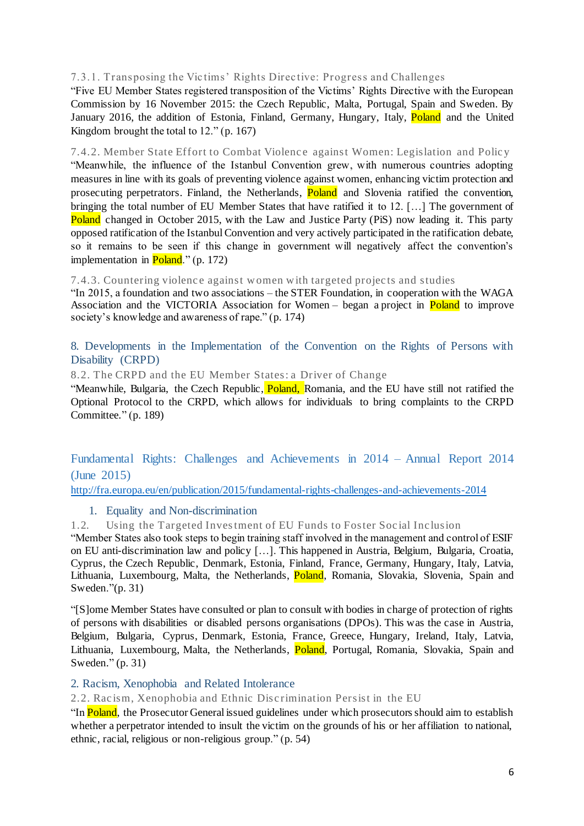## 7.3.1. Transposing the Vic tims' Rights Direc tive: Progress and Challenges

"Five EU Member States registered transposition of the Victims' Rights Directive with the European Commission by 16 November 2015: the Czech Republic, Malta, Portugal, Spain and Sweden. By January 2016, the addition of Estonia, Finland, Germany, Hungary, Italy, Poland and the United Kingdom brought the total to 12." (p. 167)

7.4.2. Member State Effort to Combat Violence against Women: Legislation and Policy "Meanwhile, the influence of the Istanbul Convention grew, with numerous countries adopting measures in line with its goals of preventing violence against women, enhancing victim protection and prosecuting perpetrators. Finland, the Netherlands, **Poland** and Slovenia ratified the convention, bringing the total number of EU Member States that have ratified it to 12. […] The government of Poland changed in October 2015, with the Law and Justice Party (PiS) now leading it. This party opposed ratification of the Istanbul Convention and very actively participated in the ratification debate, so it remains to be seen if this change in government will negatively affect the convention's implementation in Poland." (p. 172)

7.4.3. Countering violenc e against w omen w ith targeted projec ts and studies

"In 2015, a foundation and two associations – the STER Foundation, in cooperation with the WAGA Association and the VICTORIA Association for Women – began a project in **Poland** to improve society's knowledge and awareness of rape." (p. 174)

8. Developments in the Implementation of the Convention on the Rights of Persons with Disability (CRPD)

8.2. The CRPD and the EU Member States: a Driver of Change

"Meanwhile, Bulgaria, the Czech Republic, Poland, Romania, and the EU have still not ratified the Optional Protocol to the CRPD, which allows for individuals to bring complaints to the CRPD Committee." (p. 189)

Fundamental Rights: Challenges and Achievements in 2014 – Annual Report 2014 (June 2015)

http://fra.europa.eu/en/publication/2015/fundamental-rights-challenges-and-achievements-2014

## 1. Equality and Non-discrimination

1.2. Using the Targeted Investment of EU Funds to Foster Soc ial Inc lusion

"Member States also took steps to begin training staff involved in the management and control of ESIF on EU anti-discrimination law and policy […]. This happened in Austria, Belgium, Bulgaria, Croatia, Cyprus, the Czech Republic, Denmark, Estonia, Finland, France, Germany, Hungary, Italy, Latvia, Lithuania, Luxembourg, Malta, the Netherlands, Poland, Romania, Slovakia, Slovenia, Spain and Sweden."(p. 31)

"[S]ome Member States have consulted or plan to consult with bodies in charge of protection of rights of persons with disabilities or disabled persons organisations (DPOs). This was the case in Austria, Belgium, Bulgaria, Cyprus, Denmark, Estonia, France, Greece, Hungary, Ireland, Italy, Latvia, Lithuania, Luxembourg, Malta, the Netherlands, Poland, Portugal, Romania, Slovakia, Spain and Sweden." (p. 31)

#### 2. Racism, Xenophobia and Related Intolerance

2.2. Rac ism, Xenophobia and Ethnic Disc rimination Persist in the EU

"In Poland, the Prosecutor General issued guidelines under which prosecutors should aim to establish whether a perpetrator intended to insult the victim on the grounds of his or her affiliation to national, ethnic, racial, religious or non-religious group." (p. 54)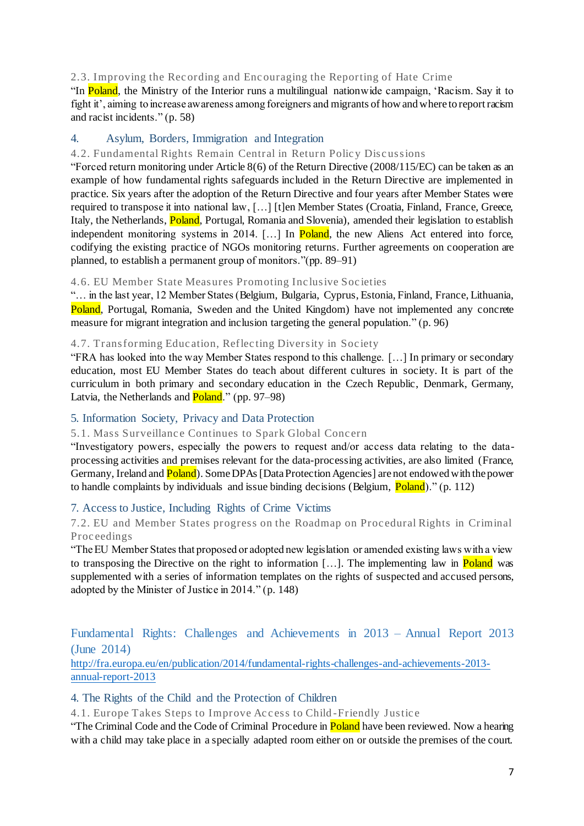#### 2.3. Improving the Rec ording and Enc ouraging the Reporting of Hate Crime

"In Poland, the Ministry of the Interior runs a multilingual nationwide campaign, 'Racism. Say it to fight it', aiming to increase awareness among foreigners and migrants of how and where to report racism and racist incidents." (p. 58)

## 4. Asylum, Borders, Immigration and Integration

#### 4.2. Fundamental Rights Remain Central in Return Policy Discussions

"Forced return monitoring under Article 8(6) of the Return Directive (2008/115/EC) can be taken as an example of how fundamental rights safeguards included in the Return Directive are implemented in practice. Six years after the adoption of the Return Directive and four years after Member States were required to transpose it into national law, […] [t]en Member States (Croatia, Finland, France, Greece, Italy, the Netherlands, Poland, Portugal, Romania and Slovenia), amended their legislation to establish independent monitoring systems in 2014. [...] In Poland, the new Aliens Act entered into force, codifying the existing practice of NGOs monitoring returns. Further agreements on cooperation are planned, to establish a permanent group of monitors."(pp. 89–91)

#### 4.6. EU Member State Measures Promoting Inc lusive Soc ieties

"… in the last year, 12 Member States (Belgium, Bulgaria, Cyprus, Estonia, Finland, France, Lithuania, Poland, Portugal, Romania, Sweden and the United Kingdom) have not implemented any concrete measure for migrant integration and inclusion targeting the general population." (p. 96)

## 4.7. Transforming Education, Reflecting Diversity in Society

"FRA has looked into the way Member States respond to this challenge. […] In primary or secondary education, most EU Member States do teach about different cultures in society. It is part of the curriculum in both primary and secondary education in the Czech Republic, Denmark, Germany, Latvia, the Netherlands and **Poland**." (pp. 97–98)

## 5. Information Society, Privacy and Data Protection

#### 5.1. Mass Surveillance Continues to Spark Global Concern

"Investigatory powers, especially the powers to request and/or access data relating to the dataprocessing activities and premises relevant for the data-processing activities, are also limited (France, Germany, Ireland and **Poland**). Some DPAs [Data Protection Agencies] are not endowed with the power to handle complaints by individuals and issue binding decisions (Belgium, Poland)." (p. 112)

## 7. Access to Justice, Including Rights of Crime Victims

## 7.2. EU and Member States progress on the Roadmap on Proc edural Rights in Criminal Proc eedings

"The EU Member States that proposed or adopted new legislation or amended existing laws with a view to transposing the Directive on the right to information [...]. The implementing law in **Poland** was supplemented with a series of information templates on the rights of suspected and accused persons, adopted by the Minister of Justice in 2014." (p. 148)

## Fundamental Rights: Challenges and Achievements in 2013 – Annual Report 2013 (June 2014)

http://fra.europa.eu/en/publication/2014/fundamental-rights-challenges-and-achievements-2013 annual-report-2013

## 4. The Rights of the Child and the Protection of Children

4.1. Europe Takes Steps to Improve Access to Child-Friendly Justice

"The Criminal Code and the Code of Criminal Procedure in Poland have been reviewed. Now a hearing with a child may take place in a specially adapted room either on or outside the premises of the court.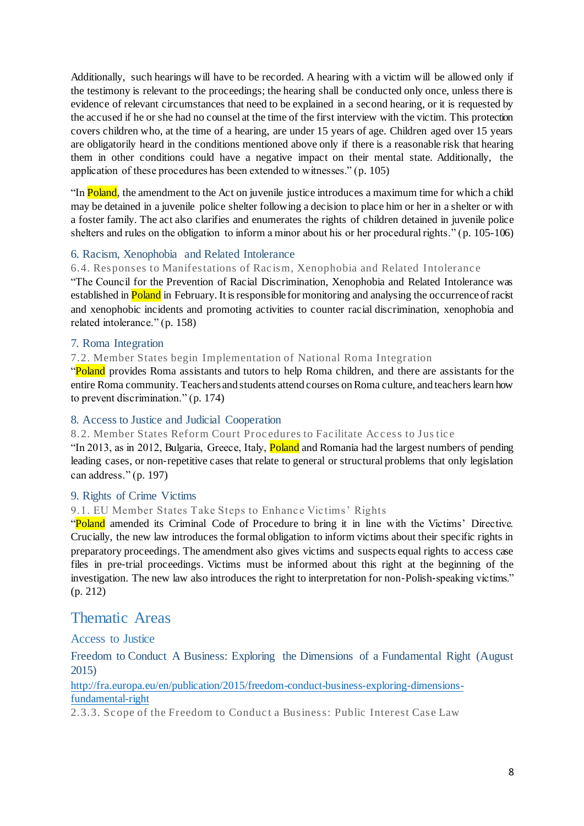Additionally, such hearings will have to be recorded. A hearing with a victim will be allowed only if the testimony is relevant to the proceedings; the hearing shall be conducted only once, unless there is evidence of relevant circumstances that need to be explained in a second hearing, or it is requested by the accused if he or she had no counsel at the time of the first interview with the victim. This protection covers children who, at the time of a hearing, are under 15 years of age. Children aged over 15 years are obligatorily heard in the conditions mentioned above only if there is a reasonable risk that hearing them in other conditions could have a negative impact on their mental state. Additionally, the application of these procedures has been extended to witnesses." (p. 105)

"In Poland, the amendment to the Act on juvenile justice introduces a maximum time for which a child may be detained in a juvenile police shelter following a decision to place him or her in a shelter or with a foster family. The act also clarifies and enumerates the rights of children detained in juvenile police shelters and rules on the obligation to inform a minor about his or her procedural rights." (p. 105-106)

## 6. Racism, Xenophobia and Related Intolerance

6.4. Responses to Manifestations of Racism, Xenophobia and Related Intolerance

"The Council for the Prevention of Racial Discrimination, Xenophobia and Related Intolerance was established in Poland in February. It is responsible for monitoring and analysing the occurrence of racist and xenophobic incidents and promoting activities to counter racial discrimination, xenophobia and related intolerance." (p. 158)

#### 7. Roma Integration

7.2. Member States begin Implementation of National Roma Integration

"Poland provides Roma assistants and tutors to help Roma children, and there are assistants for the entire Roma community. Teachers and students attend courses on Roma culture, and teachers learn how to prevent discrimination." (p. 174)

## 8. Access to Justice and Judicial Cooperation

8.2. Member States Reform Court Procedures to Facilitate Access to Justice

"In 2013, as in 2012, Bulgaria, Greece, Italy, Poland and Romania had the largest numbers of pending leading cases, or non-repetitive cases that relate to general or structural problems that only legislation can address." (p. 197)

## 9. Rights of Crime Victims

#### 9.1. EU Member States Take Steps to Enhance Victims' Rights

"Poland amended its Criminal Code of Procedure to bring it in line with the Victims' Directive. Crucially, the new law introduces the formal obligation to inform victims about their specific rights in preparatory proceedings. The amendment also gives victims and suspects equal rights to access case files in pre-trial proceedings. Victims must be informed about this right at the beginning of the investigation. The new law also introduces the right to interpretation for non-Polish-speaking victims." (p. 212)

# Thematic Areas

Access to Justice

Freedom to Conduct A Business: Exploring the Dimensions of a Fundamental Right (August 2015)

http://fra.europa.eu/en/publication/2015/freedom-conduct-business-exploring-dimensionsfundamental-right

2.3.3. Sc ope of the Freedom to Conduc t a Business: Public Interest Case Law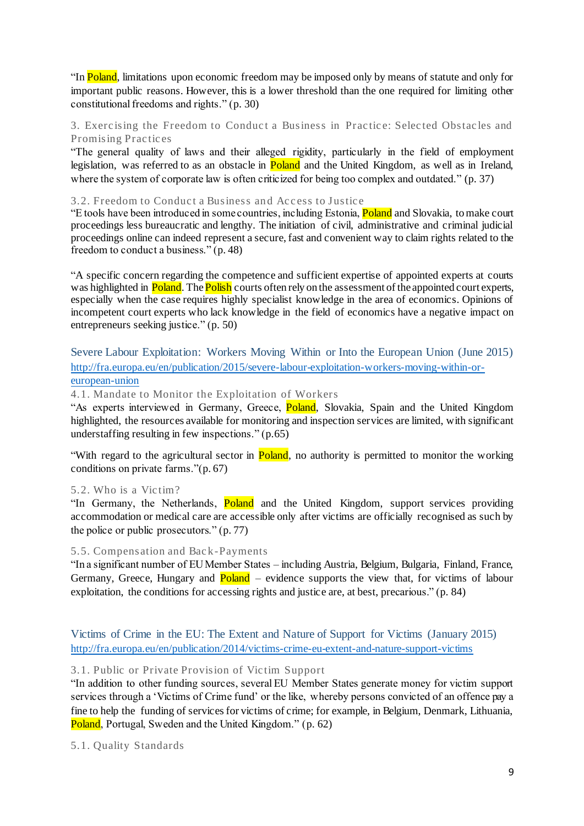"In Poland, limitations upon economic freedom may be imposed only by means of statute and only for important public reasons. However, this is a lower threshold than the one required for limiting other constitutional freedoms and rights." (p. 30)

## 3. Exercising the Freedom to Conduct a Business in Practice: Selected Obstacles and Promising Prac tic es

"The general quality of laws and their alleged rigidity, particularly in the field of employment legislation, was referred to as an obstacle in **Poland** and the United Kingdom, as well as in Ireland, where the system of corporate law is often criticized for being too complex and outdated." (p. 37)

#### 3.2. Freedom to Conduct a Business and Access to Justice

"E tools have been introduced in some countries, including Estonia, Poland and Slovakia, to make court proceedings less bureaucratic and lengthy. The initiation of civil, administrative and criminal judicial proceedings online can indeed represent a secure, fast and convenient way to claim rights related to the freedom to conduct a business." (p. 48)

"A specific concern regarding the competence and sufficient expertise of appointed experts at courts was highlighted in **Poland**. The **Polish** courts often rely on the assessment of the appointed court experts, especially when the case requires highly specialist knowledge in the area of economics. Opinions of incompetent court experts who lack knowledge in the field of economics have a negative impact on entrepreneurs seeking justice." (p. 50)

## Severe Labour Exploitation: Workers Moving Within or Into the European Union (June 2015) http://fra.europa.eu/en/publication/2015/severe-labour-exploitation-workers-moving-within-oreuropean-union

4.1. Mandate to Monitor the Exploitation of Workers

"As experts interviewed in Germany, Greece, **Poland**, Slovakia, Spain and the United Kingdom highlighted, the resources available for monitoring and inspection services are limited, with significant understaffing resulting in few inspections." (p.65)

"With regard to the agricultural sector in **Poland**, no authority is permitted to monitor the working conditions on private farms."(p. 67)

## 5.2. Who is a Vic tim?

"In Germany, the Netherlands, Poland and the United Kingdom, support services providing accommodation or medical care are accessible only after victims are officially recognised as such by the police or public prosecutors." (p. 77)

## 5.5. Compensation and Back-Payments

"In a significant number of EU Member States – including Austria, Belgium, Bulgaria, Finland, France, Germany, Greece, Hungary and **Poland** – evidence supports the view that, for victims of labour exploitation, the conditions for accessing rights and justice are, at best, precarious." (p. 84)

Victims of Crime in the EU: The Extent and Nature of Support for Victims (January 2015) http://fra.europa.eu/en/publication/2014/victims-crime-eu-extent-and-nature-support-victims

## 3.1. Public or Private Provision of Vic tim Support

"In addition to other funding sources, several EU Member States generate money for victim support services through a 'Victims of Crime fund' or the like, whereby persons convicted of an offence pay a fine to help the funding of services for victims of crime; for example, in Belgium, Denmark, Lithuania, Poland, Portugal, Sweden and the United Kingdom." (p. 62)

5.1. Quality Standards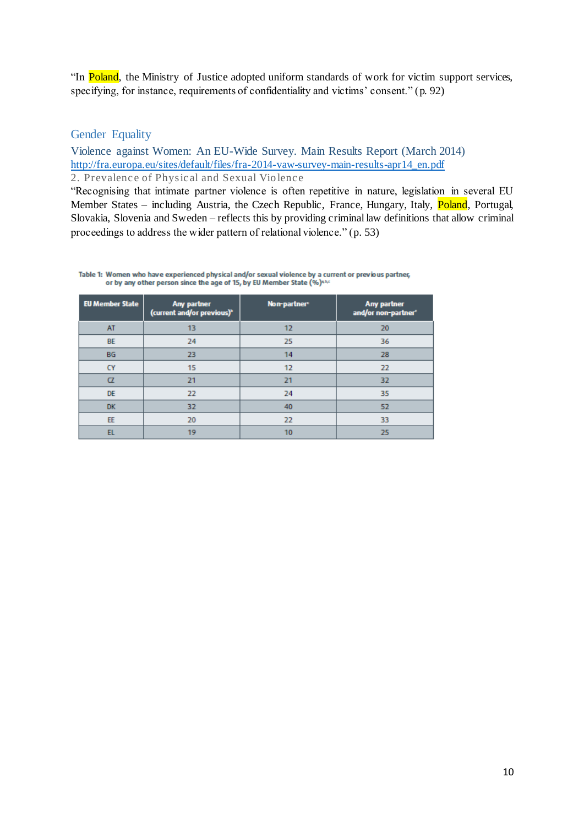"In Poland, the Ministry of Justice adopted uniform standards of work for victim support services, specifying, for instance, requirements of confidentiality and victims' consent." (p. 92)

## Gender Equality

Violence against Women: An EU-Wide Survey. Main Results Report (March 2014) http://fra.europa.eu/sites/default/files/fra-2014-vaw-survey-main-results-apr14\_en.pdf 2. Prevalence of Physical and Sexual Violence

"Recognising that intimate partner violence is often repetitive in nature, legislation in several EU Member States – including Austria, the Czech Republic, France, Hungary, Italy, Poland, Portugal, Slovakia, Slovenia and Sweden – reflects this by providing criminal law definitions that allow criminal proceedings to address the wider pattern of relational violence." (p. 53)

Table 1: Women who have experienced physical and/or sexual violence by a current or previous partner, or by any other person since the age of 15, by EU Member State (%)\*\*\*

| <b>EU Member State</b> | Any partner<br>(current and/or previous) <sup>b</sup> | Non-partner <sup>c</sup> | Any partner<br>and/or non-partner® |
|------------------------|-------------------------------------------------------|--------------------------|------------------------------------|
| AT                     | 13                                                    | 12                       | 20                                 |
| <b>BE</b>              | 24                                                    | 25                       | 36                                 |
| <b>BG</b>              | 23                                                    | 14                       | 28                                 |
| <b>CY</b>              | 15                                                    | 12                       | 22                                 |
| $\alpha$               | 21                                                    | 21                       | 32                                 |
| <b>DE</b>              | 22                                                    | 24                       | 35                                 |
| <b>DK</b>              | 32                                                    | 40                       | 52                                 |
| EE                     | 20                                                    | 22                       | 33                                 |
| EL                     | 19                                                    | 10                       | 25                                 |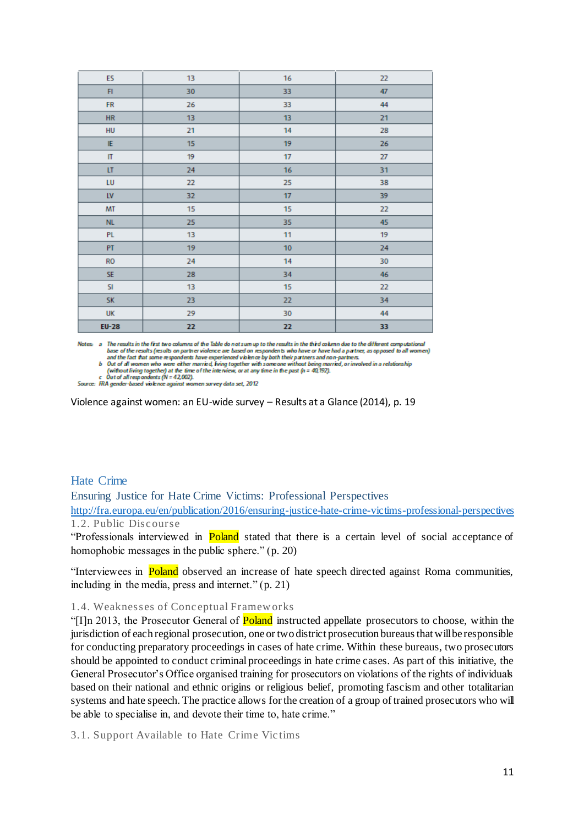| ES               | 13 | 16 | 22   |
|------------------|----|----|------|
| F1               | 30 | 33 | 47   |
| ${\sf FR}$       | 26 | 33 | 44   |
| <b>HR</b>        | 13 | 13 | 21   |
| HU               | 21 | 14 | 28   |
| IE               | 15 | 19 | 26   |
| $\rm II$         | 19 | 17 | $27$ |
| LT               | 24 | 16 | 31   |
| LU               | 22 | 25 | 38   |
| ${\sf L}{\sf V}$ | 32 | 17 | 39   |
| MT               | 15 | 15 | 22   |
| <b>NL</b>        | 25 | 35 | 45   |
| PL               | 13 | 11 | 19   |
| PT.              | 19 | 10 | 24   |
| <b>RO</b>        | 24 | 14 | 30   |
| SE               | 28 | 34 | 46   |
| SI               | 13 | 15 | 22   |
| <b>SK</b>        | 23 | 22 | 34   |
| UK               | 29 | 30 | 44   |
| <b>EU-28</b>     | 22 | 22 | 33   |

Notes: a The results in the first two columns of the Table do not sum up to the results in the third column due to the different computational base of the results (results on partner violence are based on respondents who have or have had a partner, as opposed to all women)<br>and the fact that some respondents have experienced violence by both their partners and non

b Out of all women who were either married, Iving together with someone without being married, or involved in a relationship

(without living together) at the time of the interview, or at any time in the past  $(n = 40, 192)$ .<br>Out of all respondents (N = 42,002).

Source: FRA gender-based violence against women survey data set, 2012

Violence against women: an EU-wide survey – Results at a Glance (2014), p. 19

## Hate Crime

Ensuring Justice for Hate Crime Victims: Professional Perspectives http://fra.europa.eu/en/publication/2016/ensuring-justice-hate-crime-victims-professional-perspectives 1.2. Public Disc ourse

"Professionals interviewed in **Poland** stated that there is a certain level of social acceptance of homophobic messages in the public sphere." (p. 20)

"Interviewees in Poland observed an increase of hate speech directed against Roma communities, including in the media, press and internet." (p. 21)

#### 1.4. Weaknesses of Conc eptual Framew orks

"[I]n 2013, the Prosecutor General of **Poland** instructed appellate prosecutors to choose, within the jurisdiction of each regional prosecution, one or two district prosecution bureaus that will be responsible for conducting preparatory proceedings in cases of hate crime. Within these bureaus, two prosecutors should be appointed to conduct criminal proceedings in hate crime cases. As part of this initiative, the General Prosecutor's Office organised training for prosecutors on violations of the rights of individuals based on their national and ethnic origins or religious belief, promoting fascism and other totalitarian systems and hate speech. The practice allows for the creation of a group of trained prosecutors who will be able to specialise in, and devote their time to, hate crime."

3.1. Support Available to Hate Crime Vic tims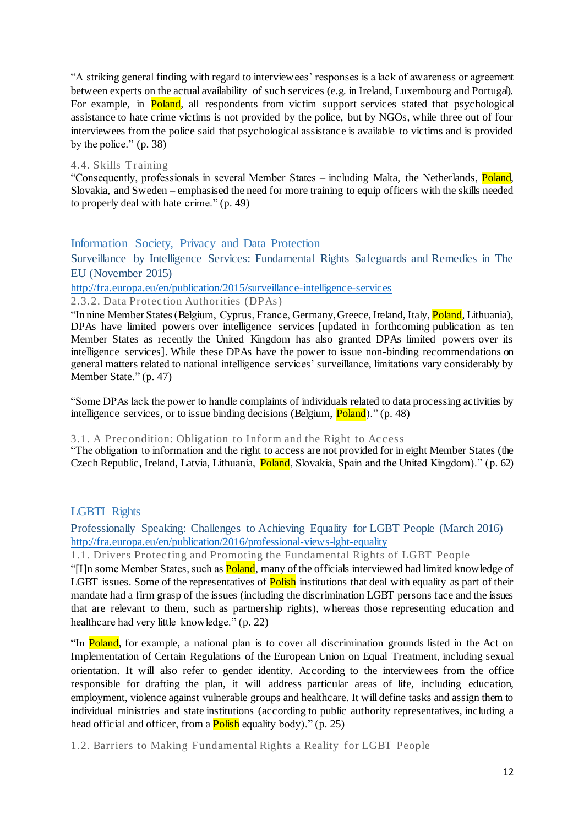"A striking general finding with regard to interviewees' responses is a lack of awareness or agreement between experts on the actual availability of such services (e.g. in Ireland, Luxembourg and Portugal). For example, in **Poland**, all respondents from victim support services stated that psychological assistance to hate crime victims is not provided by the police, but by NGOs, while three out of four interviewees from the police said that psychological assistance is available to victims and is provided by the police." (p. 38)

#### 4.4. Skills Training

"Consequently, professionals in several Member States – including Malta, the Netherlands, Poland, Slovakia, and Sweden – emphasised the need for more training to equip officers with the skills needed to properly deal with hate crime." (p. 49)

#### Information Society, Privacy and Data Protection

Surveillance by Intelligence Services: Fundamental Rights Safeguards and Remedies in The EU (November 2015)

http://fra.europa.eu/en/publication/2015/surveillance-intelligence-services

2.3.2. Data Protec tion Authorities (DPAs)

"In nine Member States (Belgium, Cyprus, France, Germany, Greece, Ireland, Italy, Poland, Lithuania), DPAs have limited powers over intelligence services [updated in forthcoming publication as ten Member States as recently the United Kingdom has also granted DPAs limited powers over its intelligence services]. While these DPAs have the power to issue non-binding recommendations on general matters related to national intelligence services' surveillance, limitations vary considerably by Member State." (p. 47)

"Some DPAs lack the power to handle complaints of individuals related to data processing activities by intelligence services, or to issue binding decisions (Belgium, Poland)." (p. 48)

#### 3.1. A Precondition: Obligation to Inform and the Right to Access

"The obligation to information and the right to access are not provided for in eight Member States (the Czech Republic, Ireland, Latvia, Lithuania, Poland, Slovakia, Spain and the United Kingdom)." (p. 62)

#### LGBTI Rights

Professionally Speaking: Challenges to Achieving Equality for LGBT People (March 2016) http://fra.europa.eu/en/publication/2016/professional-views-lgbt-equality

1.1. Drivers Protec ting and Promoting the Fundamental Rights of LGBT People

"[I]n some Member States, such as **Poland**, many of the officials interviewed had limited knowledge of LGBT issues. Some of the representatives of **Polish** institutions that deal with equality as part of their mandate had a firm grasp of the issues (including the discrimination LGBT persons face and the issues that are relevant to them, such as partnership rights), whereas those representing education and healthcare had very little knowledge." (p. 22)

"In Poland, for example, a national plan is to cover all discrimination grounds listed in the Act on Implementation of Certain Regulations of the European Union on Equal Treatment, including sexual orientation. It will also refer to gender identity. According to the interviewees from the office responsible for drafting the plan, it will address particular areas of life, including education, employment, violence against vulnerable groups and healthcare. It will define tasks and assign them to individual ministries and state institutions (according to public authority representatives, including a head official and officer, from a **Polish** equality body)." (p. 25)

1.2. Barriers to Making Fundamental Rights a Reality for LGBT People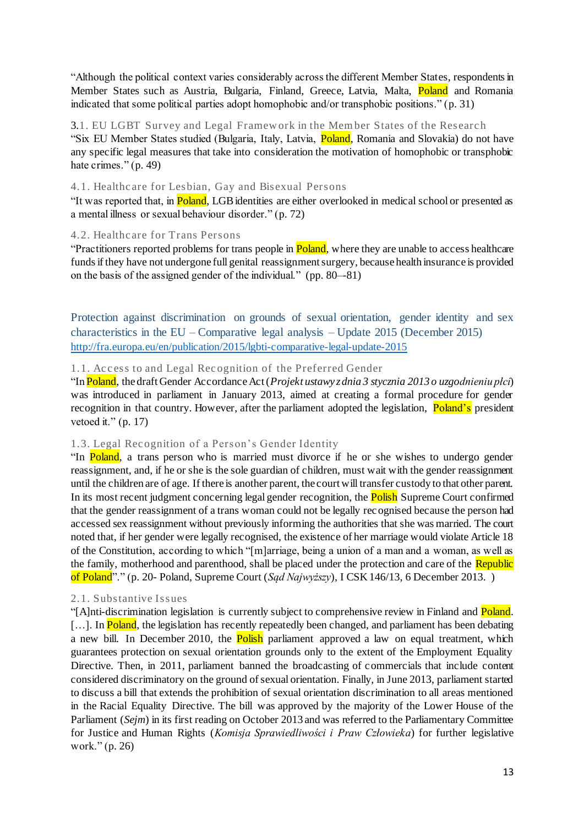"Although the political context varies considerably across the different Member States, respondents in Member States such as Austria, Bulgaria, Finland, Greece, Latvia, Malta, Poland and Romania indicated that some political parties adopt homophobic and/or transphobic positions." (p. 31)

3.1. EU LGBT Survey and Legal Framew ork in the Member States of the Researc h "Six EU Member States studied (Bulgaria, Italy, Latvia, Poland, Romania and Slovakia) do not have any specific legal measures that take into consideration the motivation of homophobic or transphobic hate crimes." (p. 49)

#### 4.1. Healthc are for Lesbian, Gay and Bisexual Persons

"It was reported that, in Poland, LGB identities are either overlooked in medical school or presented as a mental illness or sexual behaviour disorder." (p. 72)

#### 4.2. Healthc are for Trans Persons

"Practitioners reported problems for trans people in **Poland**, where they are unable to access healthcare funds if they have not undergone full genital reassignment surgery, because health insurance is provided on the basis of the assigned gender of the individual." (pp. 80–-81)

Protection against discrimination on grounds of sexual orientation, gender identity and sex characteristics in the EU – Comparative legal analysis – Update 2015 (December 2015) http://fra.europa.eu/en/publication/2015/lgbti-comparative-legal-update-2015

#### 1.1. Access to and Legal Recognition of the Preferred Gender

"In Poland, the draft Gender Accordance Act (*Projekt ustawy z dnia 3 stycznia 2013 o uzgodnieniu płci*) was introduced in parliament in January 2013, aimed at creating a formal procedure for gender recognition in that country. However, after the parliament adopted the legislation, **Poland's** president vetoed it."  $(p. 17)$ 

## 1.3. Legal Rec ognition of a Person's Gender Identity

"In Poland, a trans person who is married must divorce if he or she wishes to undergo gender reassignment, and, if he or she is the sole guardian of children, must wait with the gender reassignment until the children are of age. If there is another parent, the court will transfer custody to that other parent. In its most recent judgment concerning legal gender recognition, the **Polish** Supreme Court confirmed that the gender reassignment of a trans woman could not be legally recognised because the person had accessed sex reassignment without previously informing the authorities that she was married. The court noted that, if her gender were legally recognised, the existence of her marriage would violate Article 18 of the Constitution, according to which "[m]arriage, being a union of a man and a woman, as well as the family, motherhood and parenthood, shall be placed under the protection and care of the Republic of Poland"." (p. 20- Poland, Supreme Court (*Sąd Najwyższy*), I CSK 146/13, 6 December 2013. )

## 2.1. Substantive Issues

"[A]nti-discrimination legislation is currently subject to comprehensive review in Finland and **Poland**. [...]. In **Poland**, the legislation has recently repeatedly been changed, and parliament has been debating a new bill. In December 2010, the **Polish** parliament approved a law on equal treatment, which guarantees protection on sexual orientation grounds only to the extent of the Employment Equality Directive. Then, in 2011, parliament banned the broadcasting of commercials that include content considered discriminatory on the ground of sexual orientation. Finally, in June 2013, parliament started to discuss a bill that extends the prohibition of sexual orientation discrimination to all areas mentioned in the Racial Equality Directive. The bill was approved by the majority of the Lower House of the Parliament (*Sejm*) in its first reading on October 2013 and was referred to the Parliamentary Committee for Justice and Human Rights (*Komisja Sprawiedliwości i Praw Człowieka*) for further legislative work." (p. 26)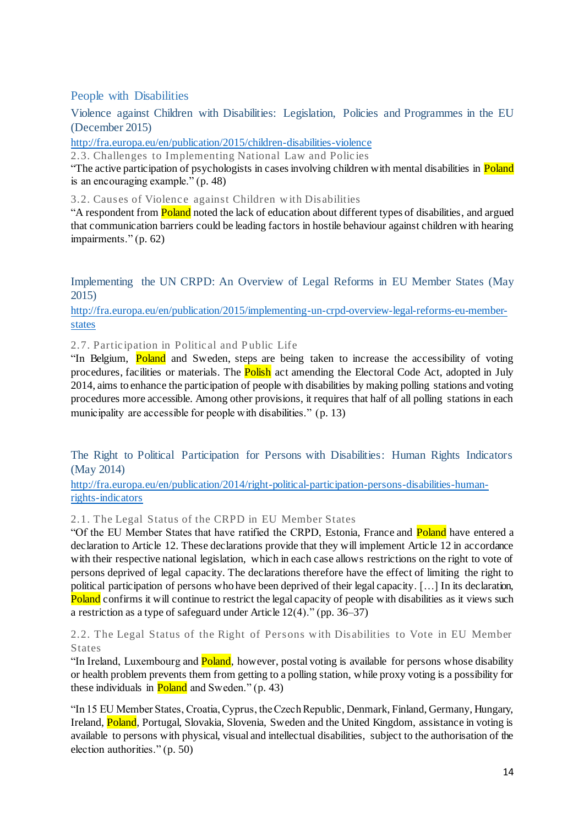## People with Disabilities

Violence against Children with Disabilities: Legislation, Policies and Programmes in the EU (December 2015)

http://fra.europa.eu/en/publication/2015/children-disabilities-violence

2.3. Challenges to Implementing National Law and Polic ies

"The active participation of psychologists in cases involving children with mental disabilities in Poland is an encouraging example." (p. 48)

3.2. Causes of Violence against Children with Disabilities

"A respondent from **Poland** noted the lack of education about different types of disabilities, and argued that communication barriers could be leading factors in hostile behaviour against children with hearing impairments." (p. 62)

Implementing the UN CRPD: An Overview of Legal Reforms in EU Member States (May 2015)

http://fra.europa.eu/en/publication/2015/implementing-un-crpd-overview-legal-reforms-eu-memberstates

2.7. Partic ipation in Political and Public Life

"In Belgium, Poland and Sweden, steps are being taken to increase the accessibility of voting procedures, facilities or materials. The **Polish** act amending the Electoral Code Act, adopted in July 2014, aims to enhance the participation of people with disabilities by making polling stations and voting procedures more accessible. Among other provisions, it requires that half of all polling stations in each municipality are accessible for people with disabilities." (p. 13)

The Right to Political Participation for Persons with Disabilities: Human Rights Indicators (May 2014)

http://fra.europa.eu/en/publication/2014/right-political-participation-persons-disabilities-humanrights-indicators

2.1. The Legal Status of the CRPD in EU Member States

"Of the EU Member States that have ratified the CRPD, Estonia, France and Poland have entered a declaration to Article 12. These declarations provide that they will implement Article 12 in accordance with their respective national legislation, which in each case allows restrictions on the right to vote of persons deprived of legal capacity. The declarations therefore have the effect of limiting the right to political participation of persons who have been deprived of their legal capacity. […] In its declaration, Poland confirms it will continue to restrict the legal capacity of people with disabilities as it views such a restriction as a type of safeguard under Article 12(4)." (pp. 36–37)

2.2. The Legal Status of the Right of Persons w ith Disabilities to Vote in EU Member States

"In Ireland, Luxembourg and **Poland**, however, postal voting is available for persons whose disability or health problem prevents them from getting to a polling station, while proxy voting is a possibility for these individuals in **Poland** and Sweden."  $(p. 43)$ 

"In 15 EU Member States, Croatia, Cyprus, the Czech Republic, Denmark, Finland, Germany, Hungary, Ireland, Poland, Portugal, Slovakia, Slovenia, Sweden and the United Kingdom, assistance in voting is available to persons with physical, visual and intellectual disabilities, subject to the authorisation of the election authorities." (p. 50)